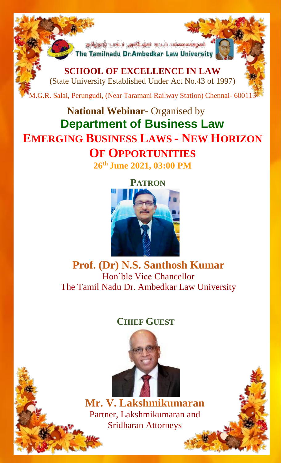தமிழ்நாடு டாக்டர் அம்பேத்கர் சட்டப் பல்கலைக்கழகம் The Tamilnadu Dr.Ambedkar Law University

í

**SCHOOL OF EXCELLENCE IN LAW** (State University Established Under Act No.43 of 1997)

M.G.R. Salai, Perungudi, (Near Taramani Railway Station) Chennai- 600113

## **National Webinar-** Organised by **Department of Business Law EMERGING BUSINESS LAWS - NEW HORIZON OF OPPORTUNITIES**

**26th June 2021, 03:00 PM**



**Prof. (Dr) N.S. Santhosh Kumar** Hon'ble Vice Chancellor The Tamil Nadu Dr. Ambedkar Law University

## **CHIEF GUEST**



**Mr. V. Lakshmikumaran** Partner, Lakshmikumaran and Sridharan Attorneys